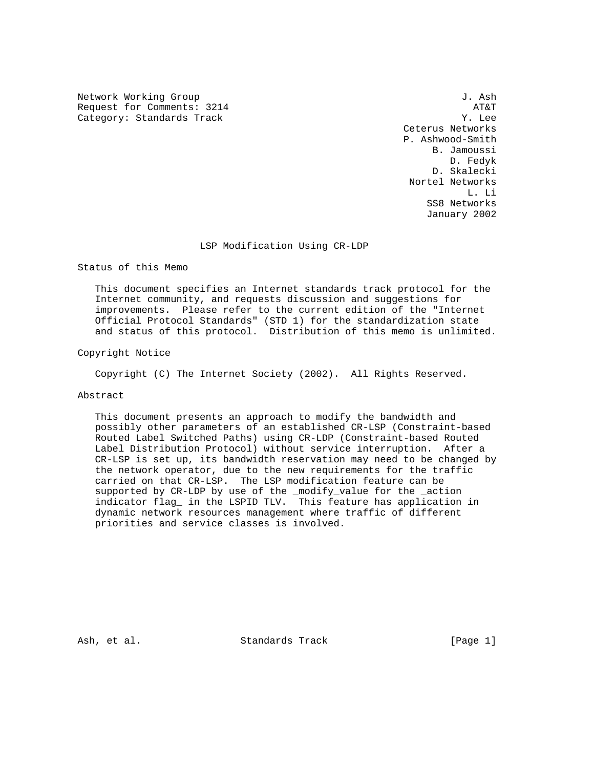Network Working Group 3. Ash J. Ash Request for Comments: 3214 AT&T<br>
Category: Standards Track AT&T Category: Standards Track

 Ceterus Networks P. Ashwood-Smith B. Jamoussi D. Fedyk D. Skalecki Nortel Networks L. Li SS8 Networks January 2002

### LSP Modification Using CR-LDP

Status of this Memo

 This document specifies an Internet standards track protocol for the Internet community, and requests discussion and suggestions for improvements. Please refer to the current edition of the "Internet Official Protocol Standards" (STD 1) for the standardization state and status of this protocol. Distribution of this memo is unlimited.

Copyright Notice

Copyright (C) The Internet Society (2002). All Rights Reserved.

# Abstract

 This document presents an approach to modify the bandwidth and possibly other parameters of an established CR-LSP (Constraint-based Routed Label Switched Paths) using CR-LDP (Constraint-based Routed Label Distribution Protocol) without service interruption. After a CR-LSP is set up, its bandwidth reservation may need to be changed by the network operator, due to the new requirements for the traffic carried on that CR-LSP. The LSP modification feature can be supported by CR-LDP by use of the \_modify\_value for the \_action indicator flag\_ in the LSPID TLV. This feature has application in dynamic network resources management where traffic of different priorities and service classes is involved.

Ash, et al. Standards Track [Page 1]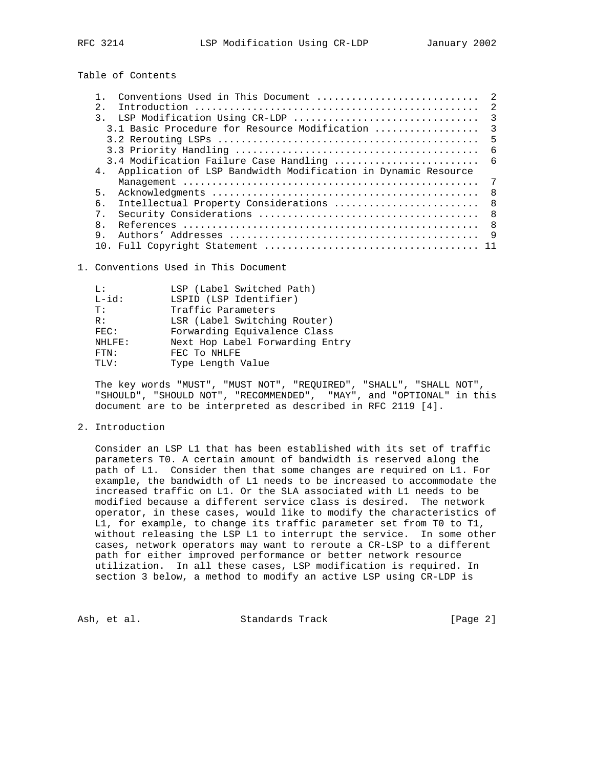Table of Contents

|                                                                                 |               | Conventions Used in This Document             | $\mathcal{L}$ |
|---------------------------------------------------------------------------------|---------------|-----------------------------------------------|---------------|
|                                                                                 | 2.            |                                               |               |
|                                                                                 | $\mathcal{R}$ | LSP Modification Using CR-LDP                 | 3             |
|                                                                                 |               | 3.1 Basic Procedure for Resource Modification | 3             |
|                                                                                 |               |                                               | 5             |
|                                                                                 |               |                                               | -6            |
|                                                                                 |               | 3.4 Modification Failure Case Handling        | - 6           |
| Application of LSP Bandwidth Modification in Dynamic Resource<br>4 <sub>1</sub> |               |                                               |               |
|                                                                                 |               |                                               | 7             |
|                                                                                 | 5.            |                                               | - 8           |
|                                                                                 | б.            | Intellectual Property Considerations          | -8            |
|                                                                                 | $7$ .         |                                               | - 8           |
|                                                                                 | 8.            |                                               | - 8           |
|                                                                                 | 9.            |                                               |               |
|                                                                                 |               |                                               |               |

1. Conventions Used in This Document

| T.:         | LSP (Label Switched Path)       |
|-------------|---------------------------------|
| $L - id$ :  | LSPID (LSP Identifier)          |
| T:          | Traffic Parameters              |
| R:          | LSR (Label Switching Router)    |
| FEC:        | Forwarding Equivalence Class    |
| NHLFE:      | Next Hop Label Forwarding Entry |
| <b>FTN:</b> | FEC TO NHLFE                    |
| TT.V:       | Type Length Value               |

 The key words "MUST", "MUST NOT", "REQUIRED", "SHALL", "SHALL NOT", "SHOULD", "SHOULD NOT", "RECOMMENDED", "MAY", and "OPTIONAL" in this document are to be interpreted as described in RFC 2119 [4].

#### 2. Introduction

 Consider an LSP L1 that has been established with its set of traffic parameters T0. A certain amount of bandwidth is reserved along the path of L1. Consider then that some changes are required on L1. For example, the bandwidth of L1 needs to be increased to accommodate the increased traffic on L1. Or the SLA associated with L1 needs to be modified because a different service class is desired. The network operator, in these cases, would like to modify the characteristics of L1, for example, to change its traffic parameter set from T0 to T1, without releasing the LSP L1 to interrupt the service. In some other cases, network operators may want to reroute a CR-LSP to a different path for either improved performance or better network resource utilization. In all these cases, LSP modification is required. In section 3 below, a method to modify an active LSP using CR-LDP is

Ash, et al. Standards Track [Page 2]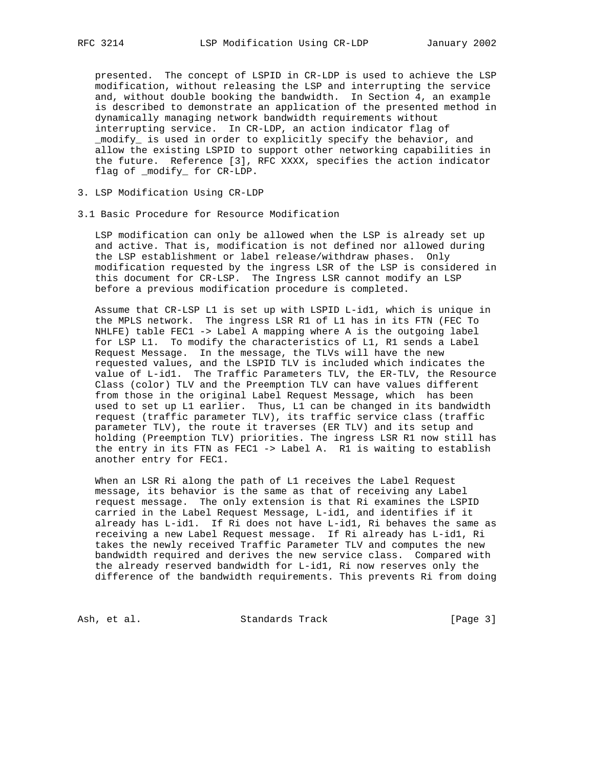presented. The concept of LSPID in CR-LDP is used to achieve the LSP modification, without releasing the LSP and interrupting the service and, without double booking the bandwidth. In Section 4, an example is described to demonstrate an application of the presented method in dynamically managing network bandwidth requirements without interrupting service. In CR-LDP, an action indicator flag of \_modify\_ is used in order to explicitly specify the behavior, and allow the existing LSPID to support other networking capabilities in the future. Reference [3], RFC XXXX, specifies the action indicator flag of modify for CR-LDP.

- 3. LSP Modification Using CR-LDP
- 3.1 Basic Procedure for Resource Modification

 LSP modification can only be allowed when the LSP is already set up and active. That is, modification is not defined nor allowed during the LSP establishment or label release/withdraw phases. Only modification requested by the ingress LSR of the LSP is considered in this document for CR-LSP. The Ingress LSR cannot modify an LSP before a previous modification procedure is completed.

 Assume that CR-LSP L1 is set up with LSPID L-id1, which is unique in the MPLS network. The ingress LSR R1 of L1 has in its FTN (FEC To NHLFE) table FEC1 -> Label A mapping where A is the outgoing label for LSP L1. To modify the characteristics of L1, R1 sends a Label Request Message. In the message, the TLVs will have the new requested values, and the LSPID TLV is included which indicates the value of L-id1. The Traffic Parameters TLV, the ER-TLV, the Resource Class (color) TLV and the Preemption TLV can have values different from those in the original Label Request Message, which has been used to set up L1 earlier. Thus, L1 can be changed in its bandwidth request (traffic parameter TLV), its traffic service class (traffic parameter TLV), the route it traverses (ER TLV) and its setup and holding (Preemption TLV) priorities. The ingress LSR R1 now still has the entry in its FTN as FEC1 -> Label A. R1 is waiting to establish another entry for FEC1.

 When an LSR Ri along the path of L1 receives the Label Request message, its behavior is the same as that of receiving any Label request message. The only extension is that Ri examines the LSPID carried in the Label Request Message, L-id1, and identifies if it already has L-id1. If Ri does not have L-id1, Ri behaves the same as receiving a new Label Request message. If Ri already has L-id1, Ri takes the newly received Traffic Parameter TLV and computes the new bandwidth required and derives the new service class. Compared with the already reserved bandwidth for L-id1, Ri now reserves only the difference of the bandwidth requirements. This prevents Ri from doing

Ash, et al. Standards Track [Page 3]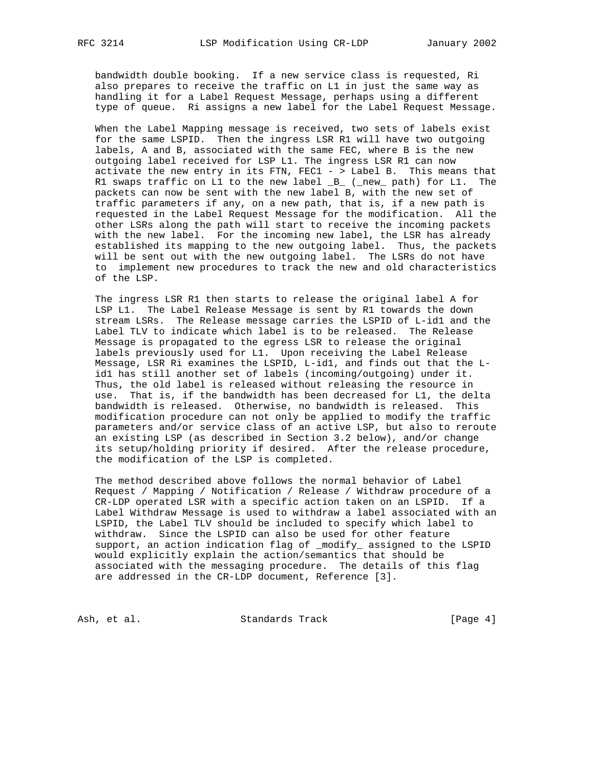bandwidth double booking. If a new service class is requested, Ri also prepares to receive the traffic on L1 in just the same way as handling it for a Label Request Message, perhaps using a different type of queue. Ri assigns a new label for the Label Request Message.

 When the Label Mapping message is received, two sets of labels exist for the same LSPID. Then the ingress LSR R1 will have two outgoing labels, A and B, associated with the same FEC, where B is the new outgoing label received for LSP L1. The ingress LSR R1 can now activate the new entry in its FTN, FEC1 - > Label B. This means that R1 swaps traffic on L1 to the new label  $_B$  (\_new\_ path) for L1. The packets can now be sent with the new label B, with the new set of traffic parameters if any, on a new path, that is, if a new path is requested in the Label Request Message for the modification. All the other LSRs along the path will start to receive the incoming packets with the new label. For the incoming new label, the LSR has already established its mapping to the new outgoing label. Thus, the packets will be sent out with the new outgoing label. The LSRs do not have to implement new procedures to track the new and old characteristics of the LSP.

 The ingress LSR R1 then starts to release the original label A for LSP L1. The Label Release Message is sent by R1 towards the down stream LSRs. The Release message carries the LSPID of L-id1 and the Label TLV to indicate which label is to be released. The Release Message is propagated to the egress LSR to release the original labels previously used for L1. Upon receiving the Label Release Message, LSR Ri examines the LSPID, L-id1, and finds out that the L id1 has still another set of labels (incoming/outgoing) under it. Thus, the old label is released without releasing the resource in use. That is, if the bandwidth has been decreased for L1, the delta bandwidth is released. Otherwise, no bandwidth is released. This modification procedure can not only be applied to modify the traffic parameters and/or service class of an active LSP, but also to reroute an existing LSP (as described in Section 3.2 below), and/or change its setup/holding priority if desired. After the release procedure, the modification of the LSP is completed.

 The method described above follows the normal behavior of Label Request / Mapping / Notification / Release / Withdraw procedure of a CR-LDP operated LSR with a specific action taken on an LSPID. If a Label Withdraw Message is used to withdraw a label associated with an LSPID, the Label TLV should be included to specify which label to withdraw. Since the LSPID can also be used for other feature support, an action indication flag of \_modify\_ assigned to the LSPID would explicitly explain the action/semantics that should be associated with the messaging procedure. The details of this flag are addressed in the CR-LDP document, Reference [3].

Ash, et al. Standards Track [Page 4]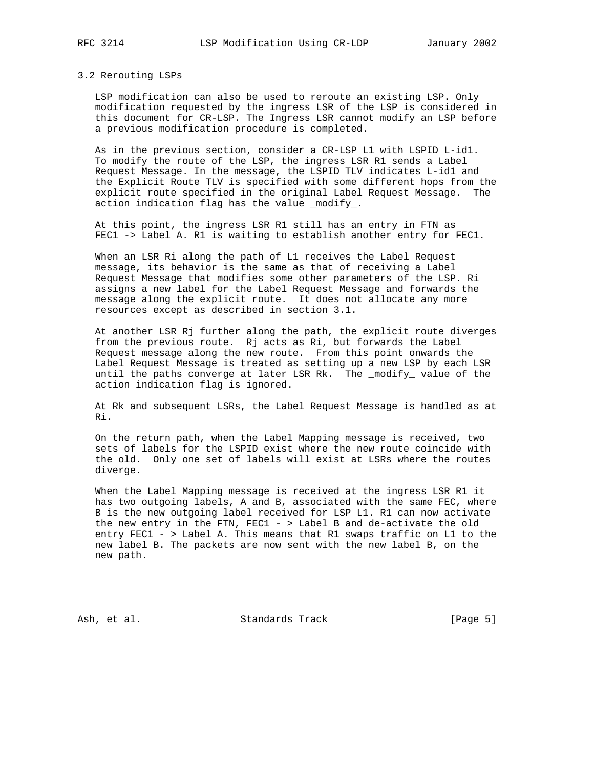#### 3.2 Rerouting LSPs

 LSP modification can also be used to reroute an existing LSP. Only modification requested by the ingress LSR of the LSP is considered in this document for CR-LSP. The Ingress LSR cannot modify an LSP before a previous modification procedure is completed.

 As in the previous section, consider a CR-LSP L1 with LSPID L-id1. To modify the route of the LSP, the ingress LSR R1 sends a Label Request Message. In the message, the LSPID TLV indicates L-id1 and the Explicit Route TLV is specified with some different hops from the explicit route specified in the original Label Request Message. The action indication flag has the value \_modify\_.

 At this point, the ingress LSR R1 still has an entry in FTN as FEC1 -> Label A. R1 is waiting to establish another entry for FEC1.

 When an LSR Ri along the path of L1 receives the Label Request message, its behavior is the same as that of receiving a Label Request Message that modifies some other parameters of the LSP. Ri assigns a new label for the Label Request Message and forwards the message along the explicit route. It does not allocate any more resources except as described in section 3.1.

 At another LSR Rj further along the path, the explicit route diverges from the previous route. Rj acts as Ri, but forwards the Label Request message along the new route. From this point onwards the Label Request Message is treated as setting up a new LSP by each LSR until the paths converge at later LSR Rk. The \_modify\_ value of the action indication flag is ignored.

 At Rk and subsequent LSRs, the Label Request Message is handled as at Ri.

 On the return path, when the Label Mapping message is received, two sets of labels for the LSPID exist where the new route coincide with the old. Only one set of labels will exist at LSRs where the routes diverge.

 When the Label Mapping message is received at the ingress LSR R1 it has two outgoing labels, A and B, associated with the same FEC, where B is the new outgoing label received for LSP L1. R1 can now activate the new entry in the FTN, FEC1 - > Label B and de-activate the old entry FEC1 - > Label A. This means that R1 swaps traffic on L1 to the new label B. The packets are now sent with the new label B, on the new path.

Ash, et al. Standards Track [Page 5]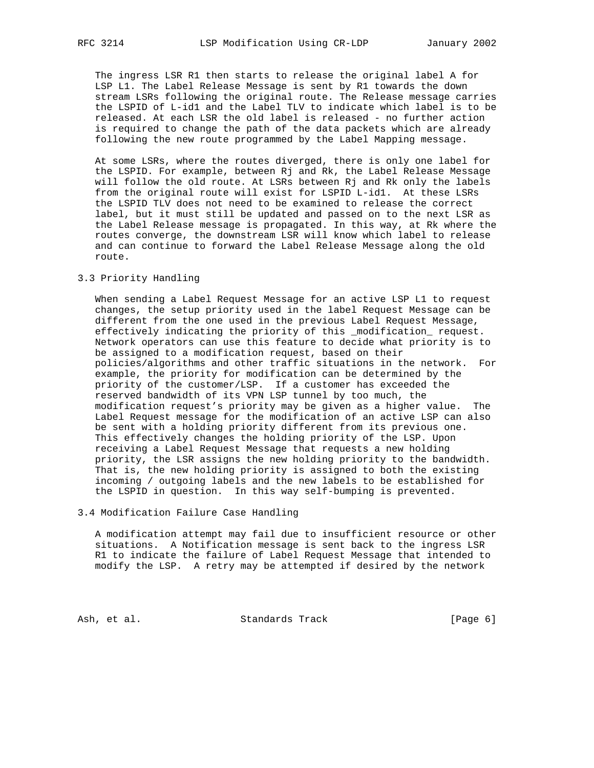The ingress LSR R1 then starts to release the original label A for LSP L1. The Label Release Message is sent by R1 towards the down stream LSRs following the original route. The Release message carries the LSPID of L-id1 and the Label TLV to indicate which label is to be released. At each LSR the old label is released - no further action is required to change the path of the data packets which are already following the new route programmed by the Label Mapping message.

 At some LSRs, where the routes diverged, there is only one label for the LSPID. For example, between Rj and Rk, the Label Release Message will follow the old route. At LSRs between Rj and Rk only the labels from the original route will exist for LSPID L-id1. At these LSRs the LSPID TLV does not need to be examined to release the correct label, but it must still be updated and passed on to the next LSR as the Label Release message is propagated. In this way, at Rk where the routes converge, the downstream LSR will know which label to release and can continue to forward the Label Release Message along the old route.

### 3.3 Priority Handling

 When sending a Label Request Message for an active LSP L1 to request changes, the setup priority used in the label Request Message can be different from the one used in the previous Label Request Message, effectively indicating the priority of this \_modification\_ request. Network operators can use this feature to decide what priority is to be assigned to a modification request, based on their policies/algorithms and other traffic situations in the network. For example, the priority for modification can be determined by the priority of the customer/LSP. If a customer has exceeded the reserved bandwidth of its VPN LSP tunnel by too much, the modification request's priority may be given as a higher value. The Label Request message for the modification of an active LSP can also be sent with a holding priority different from its previous one. This effectively changes the holding priority of the LSP. Upon receiving a Label Request Message that requests a new holding priority, the LSR assigns the new holding priority to the bandwidth. That is, the new holding priority is assigned to both the existing incoming / outgoing labels and the new labels to be established for the LSPID in question. In this way self-bumping is prevented.

#### 3.4 Modification Failure Case Handling

 A modification attempt may fail due to insufficient resource or other situations. A Notification message is sent back to the ingress LSR R1 to indicate the failure of Label Request Message that intended to modify the LSP. A retry may be attempted if desired by the network

Ash, et al. Standards Track [Page 6]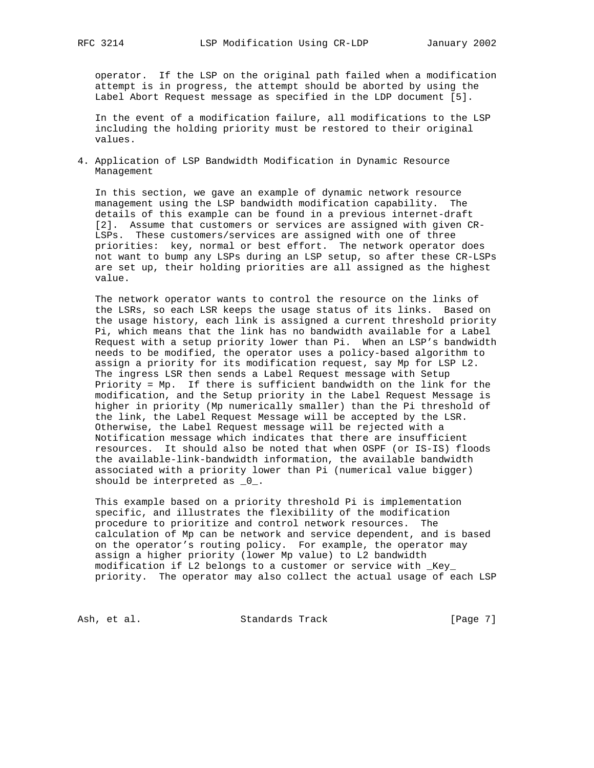operator. If the LSP on the original path failed when a modification attempt is in progress, the attempt should be aborted by using the Label Abort Request message as specified in the LDP document [5].

 In the event of a modification failure, all modifications to the LSP including the holding priority must be restored to their original values.

4. Application of LSP Bandwidth Modification in Dynamic Resource Management

 In this section, we gave an example of dynamic network resource management using the LSP bandwidth modification capability. The details of this example can be found in a previous internet-draft [2]. Assume that customers or services are assigned with given CR- LSPs. These customers/services are assigned with one of three priorities: key, normal or best effort. The network operator does not want to bump any LSPs during an LSP setup, so after these CR-LSPs are set up, their holding priorities are all assigned as the highest value.

 The network operator wants to control the resource on the links of the LSRs, so each LSR keeps the usage status of its links. Based on the usage history, each link is assigned a current threshold priority Pi, which means that the link has no bandwidth available for a Label Request with a setup priority lower than Pi. When an LSP's bandwidth needs to be modified, the operator uses a policy-based algorithm to assign a priority for its modification request, say Mp for LSP L2. The ingress LSR then sends a Label Request message with Setup Priority = Mp. If there is sufficient bandwidth on the link for the modification, and the Setup priority in the Label Request Message is higher in priority (Mp numerically smaller) than the Pi threshold of the link, the Label Request Message will be accepted by the LSR. Otherwise, the Label Request message will be rejected with a Notification message which indicates that there are insufficient resources. It should also be noted that when OSPF (or IS-IS) floods the available-link-bandwidth information, the available bandwidth associated with a priority lower than Pi (numerical value bigger) should be interpreted as \_0\_.

 This example based on a priority threshold Pi is implementation specific, and illustrates the flexibility of the modification procedure to prioritize and control network resources. The calculation of Mp can be network and service dependent, and is based on the operator's routing policy. For example, the operator may assign a higher priority (lower Mp value) to L2 bandwidth modification if L2 belongs to a customer or service with \_Key\_ priority. The operator may also collect the actual usage of each LSP

Ash, et al. Standards Track [Page 7]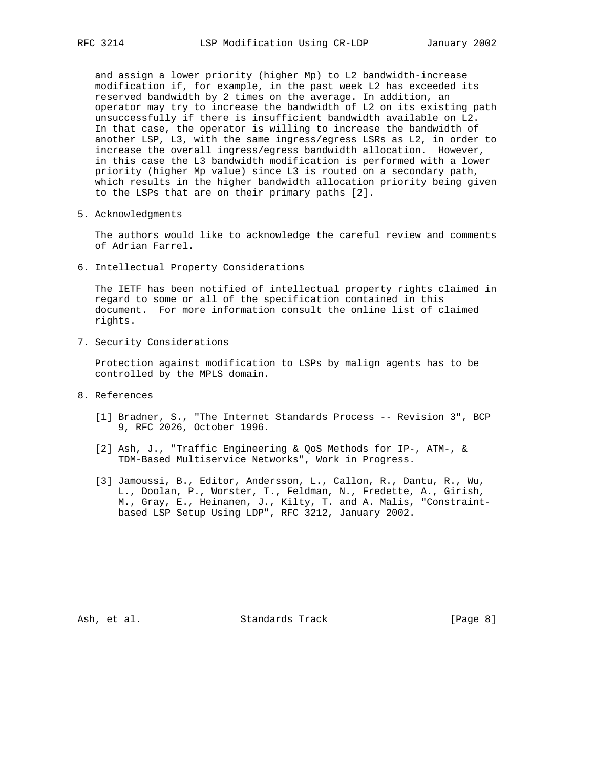and assign a lower priority (higher Mp) to L2 bandwidth-increase modification if, for example, in the past week L2 has exceeded its reserved bandwidth by 2 times on the average. In addition, an operator may try to increase the bandwidth of L2 on its existing path unsuccessfully if there is insufficient bandwidth available on L2. In that case, the operator is willing to increase the bandwidth of another LSP, L3, with the same ingress/egress LSRs as L2, in order to increase the overall ingress/egress bandwidth allocation. However, in this case the L3 bandwidth modification is performed with a lower priority (higher Mp value) since L3 is routed on a secondary path, which results in the higher bandwidth allocation priority being given to the LSPs that are on their primary paths [2].

5. Acknowledgments

 The authors would like to acknowledge the careful review and comments of Adrian Farrel.

6. Intellectual Property Considerations

 The IETF has been notified of intellectual property rights claimed in regard to some or all of the specification contained in this document. For more information consult the online list of claimed rights.

7. Security Considerations

 Protection against modification to LSPs by malign agents has to be controlled by the MPLS domain.

- 8. References
	- [1] Bradner, S., "The Internet Standards Process -- Revision 3", BCP 9, RFC 2026, October 1996.
	- [2] Ash, J., "Traffic Engineering & QoS Methods for IP-, ATM-, & TDM-Based Multiservice Networks", Work in Progress.
	- [3] Jamoussi, B., Editor, Andersson, L., Callon, R., Dantu, R., Wu, L., Doolan, P., Worster, T., Feldman, N., Fredette, A., Girish, M., Gray, E., Heinanen, J., Kilty, T. and A. Malis, "Constraint based LSP Setup Using LDP", RFC 3212, January 2002.

Ash, et al. Standards Track [Page 8]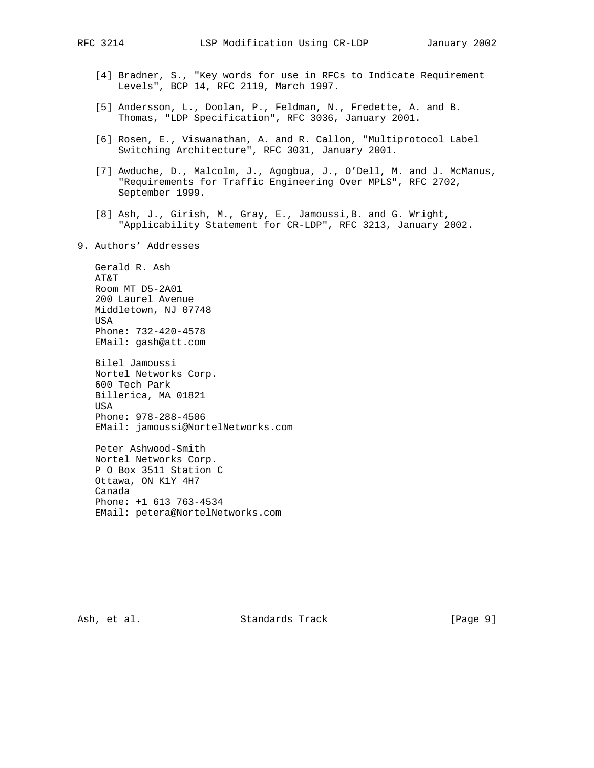- [4] Bradner, S., "Key words for use in RFCs to Indicate Requirement Levels", BCP 14, RFC 2119, March 1997.
- [5] Andersson, L., Doolan, P., Feldman, N., Fredette, A. and B. Thomas, "LDP Specification", RFC 3036, January 2001.
- [6] Rosen, E., Viswanathan, A. and R. Callon, "Multiprotocol Label Switching Architecture", RFC 3031, January 2001.
- [7] Awduche, D., Malcolm, J., Agogbua, J., O'Dell, M. and J. McManus, "Requirements for Traffic Engineering Over MPLS", RFC 2702, September 1999.
- [8] Ash, J., Girish, M., Gray, E., Jamoussi,B. and G. Wright, "Applicability Statement for CR-LDP", RFC 3213, January 2002.
- 9. Authors' Addresses

 Gerald R. Ash AT&T Room MT D5-2A01 200 Laurel Avenue Middletown, NJ 07748 USA Phone: 732-420-4578 EMail: gash@att.com

 Bilel Jamoussi Nortel Networks Corp. 600 Tech Park Billerica, MA 01821 USA Phone: 978-288-4506 EMail: jamoussi@NortelNetworks.com

 Peter Ashwood-Smith Nortel Networks Corp. P O Box 3511 Station C Ottawa, ON K1Y 4H7 Canada Phone: +1 613 763-4534 EMail: petera@NortelNetworks.com

Ash, et al. Standards Track [Page 9]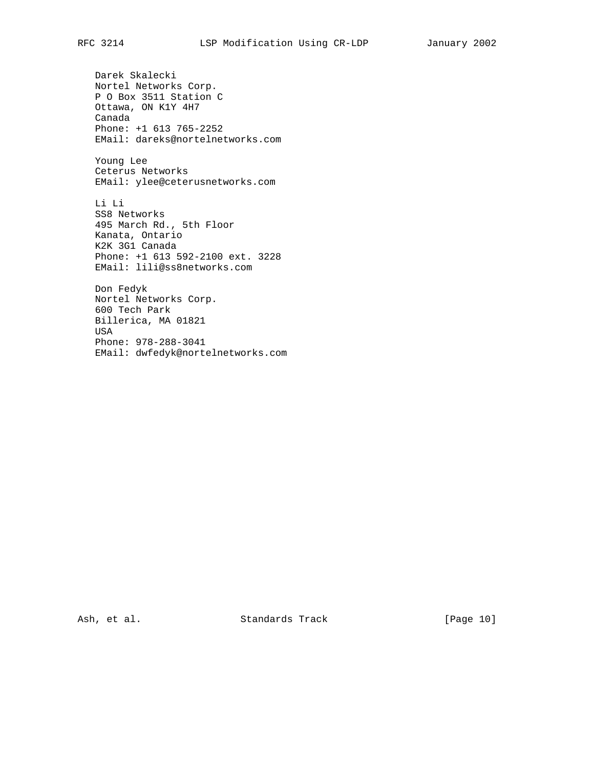Darek Skalecki Nortel Networks Corp. P O Box 3511 Station C Ottawa, ON K1Y 4H7 Canada Phone: +1 613 765-2252 EMail: dareks@nortelnetworks.com Young Lee Ceterus Networks EMail: ylee@ceterusnetworks.com Li Li SS8 Networks 495 March Rd., 5th Floor Kanata, Ontario K2K 3G1 Canada Phone: +1 613 592-2100 ext. 3228 EMail: lili@ss8networks.com Don Fedyk Nortel Networks Corp. 600 Tech Park Billerica, MA 01821 USA Phone: 978-288-3041 EMail: dwfedyk@nortelnetworks.com

Ash, et al. Standards Track [Page 10]